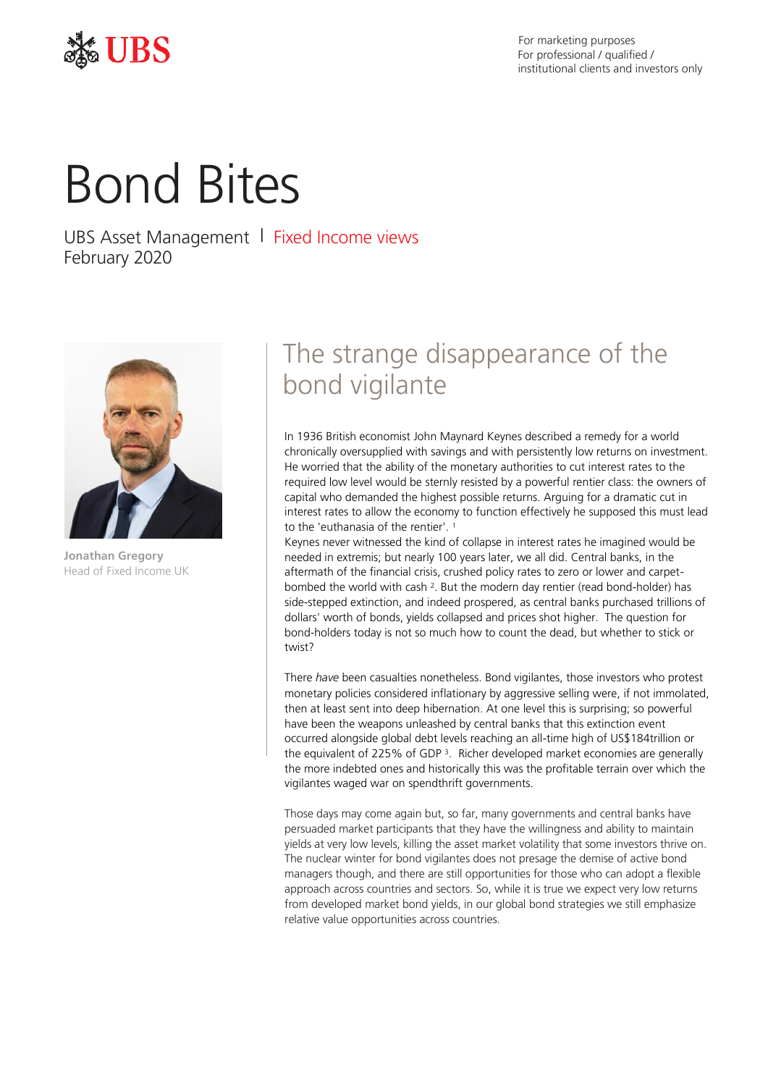

For marketing purposes For professional / qualified / institutional clients and investors only

# Bond Bites

UBS Asset Management | Fixed Income views February 2020



**Jonathan Gregory** Head of Fixed Income UK

# The strange disappearance of the bond vigilante

In 1936 British economist John Maynard Keynes described a remedy for a world chronically oversupplied with savings and with persistently low returns on investment. He worried that the ability of the monetary authorities to cut interest rates to the required low level would be sternly resisted by a powerful rentier class: the owners of capital who demanded the highest possible returns. Arguing for a dramatic cut in interest rates to allow the economy to function effectively he supposed this must lead to the 'euthanasia of the rentier'.<sup>1</sup>

Keynes never witnessed the kind of collapse in interest rates he imagined would be needed in extremis; but nearly 100 years later, we all did. Central banks, in the aftermath of the financial crisis, crushed policy rates to zero or lower and carpetbombed the world with cash <sup>2</sup>. But the modern day rentier (read bond-holder) has side-stepped extinction, and indeed prospered, as central banks purchased trillions of dollars' worth of bonds, yields collapsed and prices shot higher. The question for bond-holders today is not so much how to count the dead, but whether to stick or twist?

There *have* been casualties nonetheless. Bond vigilantes, those investors who protest monetary policies considered inflationary by aggressive selling were, if not immolated, then at least sent into deep hibernation. At one level this is surprising; so powerful have been the weapons unleashed by central banks that this extinction event occurred alongside global debt levels reaching an all-time high of US\$184trillion or the equivalent of 225% of GDP<sup>3</sup>. Richer developed market economies are generally the more indebted ones and historically this was the profitable terrain over which the vigilantes waged war on spendthrift governments.

Those days may come again but, so far, many governments and central banks have persuaded market participants that they have the willingness and ability to maintain yields at very low levels, killing the asset market volatility that some investors thrive on. The nuclear winter for bond vigilantes does not presage the demise of active bond managers though, and there are still opportunities for those who can adopt a flexible approach across countries and sectors. So, while it is true we expect very low returns from developed market bond yields, in our global bond strategies we still emphasize relative value opportunities across countries.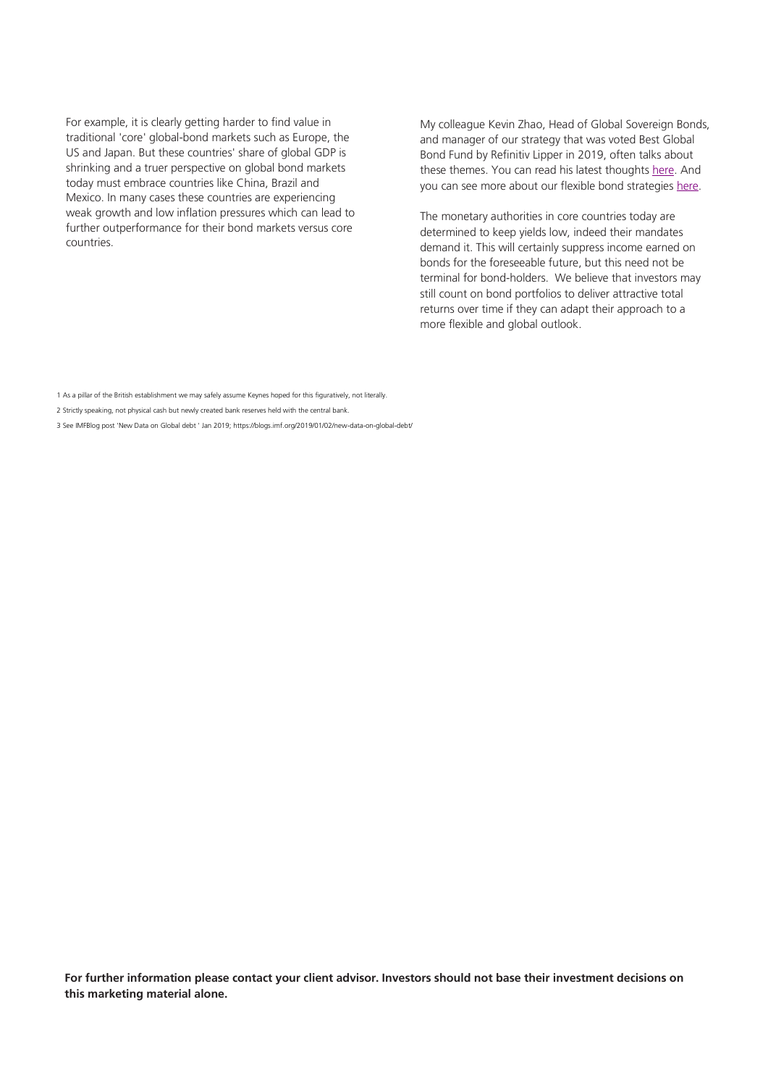For example, it is clearly getting harder to find value in traditional 'core' global-bond markets such as Europe, the US and Japan. But these countries' share of global GDP is shrinking and a truer perspective on global bond markets today must embrace countries like China, Brazil and Mexico. In many cases these countries are experiencing weak growth and low inflation pressures which can lead to further outperformance for their bond markets versus core countries.

My colleague Kevin Zhao, Head of Global Sovereign Bonds, and manager of our strategy that was voted Best Global Bond Fund by Refinitiv Lipper in 2019, often talks about these themes. You can read his latest thoughts [here.](https://www.ubs.com/global/en/asset-management/insights/asset-class-research/fixed-income-research/fixed-income-pm-corner.html) And you can see more about our flexible bond strategie[s here.](https://www.ubs.com/global/en/asset-management/investment-capabilities/fixed-income/global-flexible-fi-capabilities.html)

The monetary authorities in core countries today are determined to keep yields low, indeed their mandates demand it. This will certainly suppress income earned on bonds for the foreseeable future, but this need not be terminal for bond-holders. We believe that investors may still count on bond portfolios to deliver attractive total returns over time if they can adapt their approach to a more flexible and global outlook.

- 2 Strictly speaking, not physical cash but newly created bank reserves held with the central bank.
- 3 See IMFBlog post 'New Data on Global debt ' Jan 2019; https://blogs.imf.org/2019/01/02/new-data-on-global-debt/

For further information please contact your client advisor. Investors should not base their investment decisions on **this marketing material alone.**

<sup>1</sup> As a pillar of the British establishment we may safely assume Keynes hoped for this figuratively, not literally.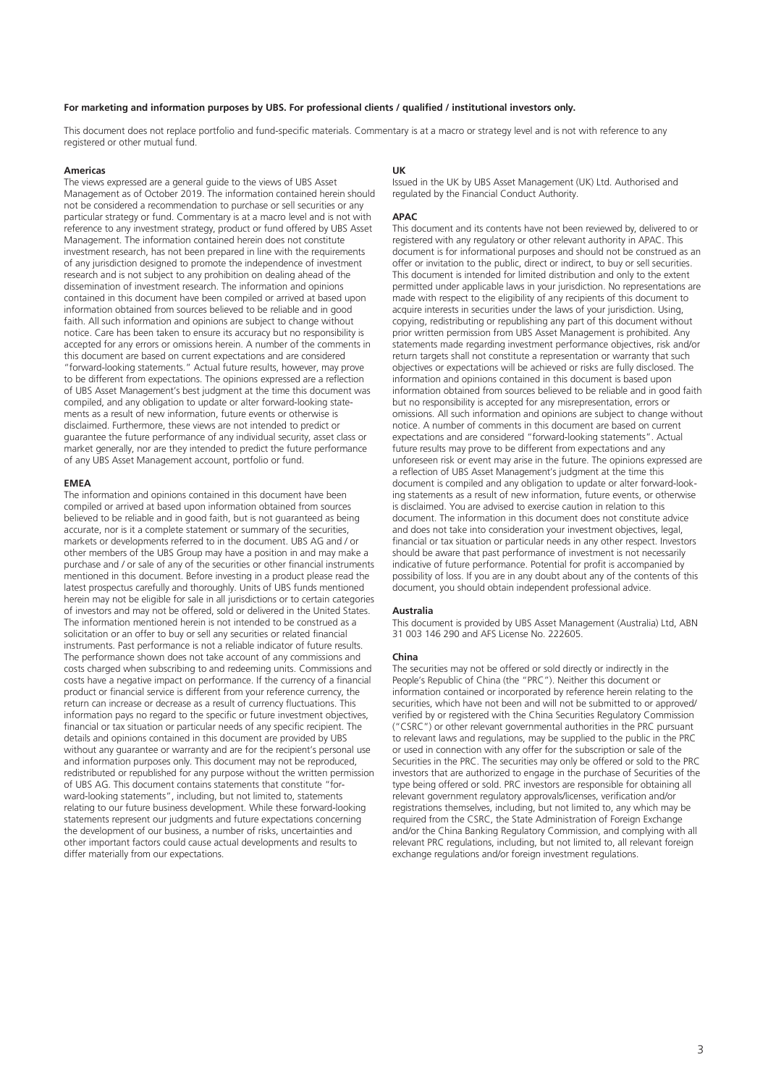# **For marketing and information purposes by UBS. For professional clients / qualified / institutional investors only.**

This document does not replace portfolio and fund-specific materials. Commentary is at a macro or strategy level and is not with reference to any registered or other mutual fund.

#### **Americas**

The views expressed are a general guide to the views of UBS Asset Management as of October 2019. The information contained herein should not be considered a recommendation to purchase or sell securities or any particular strategy or fund. Commentary is at a macro level and is not with reference to any investment strategy, product or fund offered by UBS Asset Management. The information contained herein does not constitute investment research, has not been prepared in line with the requirements of any jurisdiction designed to promote the independence of investment research and is not subject to any prohibition on dealing ahead of the dissemination of investment research. The information and opinions contained in this document have been compiled or arrived at based upon information obtained from sources believed to be reliable and in good faith. All such information and opinions are subject to change without notice. Care has been taken to ensure its accuracy but no responsibility is accepted for any errors or omissions herein. A number of the comments in this document are based on current expectations and are considered "forward-looking statements." Actual future results, however, may prove to be different from expectations. The opinions expressed are a reflection of UBS Asset Management's best judgment at the time this document was compiled, and any obligation to update or alter forward-looking statements as a result of new information, future events or otherwise is disclaimed. Furthermore, these views are not intended to predict or guarantee the future performance of any individual security, asset class or market generally, nor are they intended to predict the future performance of any UBS Asset Management account, portfolio or fund.

#### **EMEA**

The information and opinions contained in this document have been compiled or arrived at based upon information obtained from sources believed to be reliable and in good faith, but is not guaranteed as being accurate, nor is it a complete statement or summary of the securities, markets or developments referred to in the document. UBS AG and / or other members of the UBS Group may have a position in and may make a purchase and / or sale of any of the securities or other financial instruments mentioned in this document. Before investing in a product please read the latest prospectus carefully and thoroughly. Units of UBS funds mentioned herein may not be eligible for sale in all jurisdictions or to certain categories of investors and may not be offered, sold or delivered in the United States. The information mentioned herein is not intended to be construed as a solicitation or an offer to buy or sell any securities or related financial instruments. Past performance is not a reliable indicator of future results. The performance shown does not take account of any commissions and costs charged when subscribing to and redeeming units. Commissions and costs have a negative impact on performance. If the currency of a financial product or financial service is different from your reference currency, the return can increase or decrease as a result of currency fluctuations. This information pays no regard to the specific or future investment objectives, financial or tax situation or particular needs of any specific recipient. The details and opinions contained in this document are provided by UBS without any guarantee or warranty and are for the recipient's personal use and information purposes only. This document may not be reproduced, redistributed or republished for any purpose without the written permission of UBS AG. This document contains statements that constitute "forward-looking statements", including, but not limited to, statements relating to our future business development. While these forward-looking statements represent our judgments and future expectations concerning the development of our business, a number of risks, uncertainties and other important factors could cause actual developments and results to differ materially from our expectations.

### **UK**

Issued in the UK by UBS Asset Management (UK) Ltd. Authorised and regulated by the Financial Conduct Authority.

# **APAC**

This document and its contents have not been reviewed by, delivered to or registered with any regulatory or other relevant authority in APAC. This document is for informational purposes and should not be construed as an offer or invitation to the public, direct or indirect, to buy or sell securities. This document is intended for limited distribution and only to the extent permitted under applicable laws in your jurisdiction. No representations are made with respect to the eligibility of any recipients of this document to acquire interests in securities under the laws of your jurisdiction. Using, copying, redistributing or republishing any part of this document without prior written permission from UBS Asset Management is prohibited. Any statements made regarding investment performance objectives, risk and/or return targets shall not constitute a representation or warranty that such objectives or expectations will be achieved or risks are fully disclosed. The information and opinions contained in this document is based upon information obtained from sources believed to be reliable and in good faith but no responsibility is accepted for any misrepresentation, errors or omissions. All such information and opinions are subject to change without notice. A number of comments in this document are based on current expectations and are considered "forward-looking statements". Actual future results may prove to be different from expectations and any unforeseen risk or event may arise in the future. The opinions expressed are a reflection of UBS Asset Management's judgment at the time this document is compiled and any obligation to update or alter forward-looking statements as a result of new information, future events, or otherwise is disclaimed. You are advised to exercise caution in relation to this document. The information in this document does not constitute advice and does not take into consideration your investment objectives, legal, financial or tax situation or particular needs in any other respect. Investors should be aware that past performance of investment is not necessarily indicative of future performance. Potential for profit is accompanied by possibility of loss. If you are in any doubt about any of the contents of this document, you should obtain independent professional advice.

#### **Australia**

This document is provided by UBS Asset Management (Australia) Ltd, ABN 31 003 146 290 and AFS License No. 222605.

#### **China**

The securities may not be offered or sold directly or indirectly in the People's Republic of China (the "PRC"). Neither this document or information contained or incorporated by reference herein relating to the securities, which have not been and will not be submitted to or approved/ verified by or registered with the China Securities Regulatory Commission ("CSRC") or other relevant governmental authorities in the PRC pursuant to relevant laws and regulations, may be supplied to the public in the PRC or used in connection with any offer for the subscription or sale of the Securities in the PRC. The securities may only be offered or sold to the PRC investors that are authorized to engage in the purchase of Securities of the type being offered or sold. PRC investors are responsible for obtaining all relevant government regulatory approvals/licenses, verification and/or registrations themselves, including, but not limited to, any which may be required from the CSRC, the State Administration of Foreign Exchange and/or the China Banking Regulatory Commission, and complying with all relevant PRC regulations, including, but not limited to, all relevant foreign exchange regulations and/or foreign investment regulations.